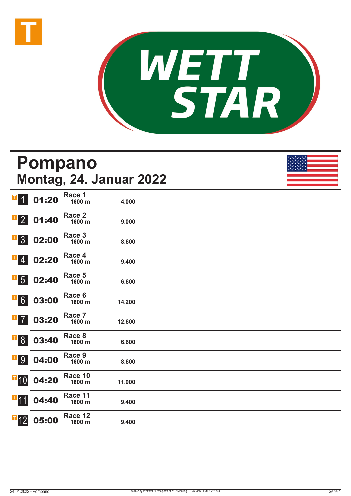



## **Pompano Montag, 24. Januar 2022** 1 01:20 **Race 1 1600 m 4.000**  2 01:40 **Race 2 1600 m 9.000**  3 02:00 **Race 3 1600 m 8.600**  02:20 **Race 4 1600 m 9.400**  5 02:40 **Race 5 1600 m 6.600**  03:00 **Race 6 1600 m 14.200**  03:20 **Race 7 1600 m 12.600**  8 03:40 **Race 8 1600 m 6.600**  9 04:00 **Race 9 1600 m 8.600**   $\blacksquare$ 10 04:20 **Race 10 1600 m 11.000**   $\blacksquare$ 11 04:40 **Race 11 1600 m 9.400**   $\blacksquare$ 12 05:00 **Race 12 1600 m 9.400**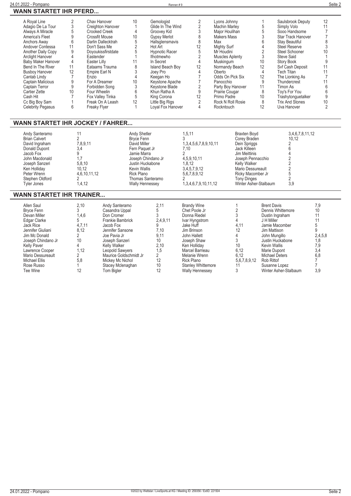|    | Chav Hanover       | 10 | Gemologist              |                | Lyons Johnny           |                               | Saulsbrook Deputy         | 12              |
|----|--------------------|----|-------------------------|----------------|------------------------|-------------------------------|---------------------------|-----------------|
|    | Creighton Hanover  |    | Glide In The Wind       |                | <b>Machin Marley</b>   |                               | Simply Volo               |                 |
|    | Crooked Creek      |    | Groovey Kid             |                | Major Houlihan         |                               | Sooo Handsome             |                 |
|    | Crossfit Mouse     | 10 | <b>Gypsy Merlot</b>     |                | <b>Makers Mass</b>     |                               | <b>Star Track Hanover</b> |                 |
|    | Darlin Dallecktrah |    | Hallsglensmavis         |                | Max                    |                               | <b>Stay Beautiful</b>     |                 |
|    | Don't Sass Me      |    | Hot Art                 | 12             |                        |                               | Steel Reserve             |                 |
|    | Doyoukissfirstdate |    | <b>Hypnotic Racer</b>   |                | Mr Houdini             |                               | Steel Schooner            |                 |
|    | Eastender          |    | Ifnotmewho              |                | <b>Muscles Aplenty</b> |                               | Steve Said                |                 |
|    | Easter Lilly       |    | In Secret               |                | Muskingum              | 10                            | Story Book                |                 |
| 11 | Eataams Trauma     |    | <b>Island Beach Boy</b> | 12             |                        | 12                            | Svf Cash Deposit          |                 |
| 12 | Empire Earl N      |    | Joev Pro                |                | Oberto                 |                               | <b>Tech Titan</b>         |                 |
|    | Enzio              |    | Keegan Ho               |                | Odds On Pick Six       | 12                            | The Lionking As           |                 |
|    | For A Dreamer      | 10 | Keystone Apache         |                | Panocchio              |                               | Thundercrest              |                 |
|    | Forbidden Song     |    |                         |                | Party Boy Hanover      |                               | Timon As                  |                 |
| 10 | Four Wheelin       |    | Khun Ratha A            |                | Prairie Cougar         | 8                             | Toy's For You             |                 |
|    | Fox Valley Tinka   |    | King Corona             |                | Primo Padre            | 10 <sup>°</sup>               | Trashytonquetalker        |                 |
|    | Freak On A Leash   |    | Little Big Rigs         |                | Rock N Roll Rosie      |                               | <b>Trix And Stones</b>    | 10 <sup>°</sup> |
|    | Freaky Flyer       |    | Loval Fox Hanover       |                | Rockntouch             |                               | Uva Hanover               |                 |
|    |                    |    |                         | Keystone Blade |                        | Mighty Surf<br>Normandy Beach |                           |                 |

## **WANN STARTET IHR JOCKEY / FAHRER...**

| Andy Santeramo<br><b>Brian Calvert</b><br>David Ingraham<br>Donald Dupont<br>Jacob Fox | 7,8,9,11<br>3.4                 | <b>Andy Shetler</b><br>Bryce Fenn<br>David Miller<br>Fern Paquet Jr<br>Jamie Marra       | 1,5,11<br>1,3,4,5,6,7,8,9,10,11<br>7.10               | Braxten Boyd<br>Corey Braden<br>Dein Spriggs<br>Jack Killeen<br>Jim Meittinis                     | 3,4,6,7,8,11,12<br>10.12 |  |
|----------------------------------------------------------------------------------------|---------------------------------|------------------------------------------------------------------------------------------|-------------------------------------------------------|---------------------------------------------------------------------------------------------------|--------------------------|--|
| John Macdonald<br>Joseph Sanzeri<br>Ken Holliday<br>Peter Wrenn<br>Stephen Oldford     | 5,8,10<br>10.12<br>4.6.10.11.12 | Joseph Chindano Jr<br>Justin Huckabone<br>Kevin Wallis<br>Rick Plano<br>Thomas Santeramo | 4.5.9.10.11<br>1.8.12<br>3,4,5,7,9,12<br>5.6.7.8.9.12 | Joseph Pennacchio<br>Kelly Walker<br>Mario Dessureault<br>Ricky Macomber Jr<br><b>Tony Dinges</b> |                          |  |
| Tvler Jones                                                                            | .4.12                           | Wally Hennessey                                                                          | 1,3,4,6,7,9,10,11,12                                  | Winter Asher-Stalbaum                                                                             | 3,9                      |  |

## **WANN STARTET IHR TRAINER...**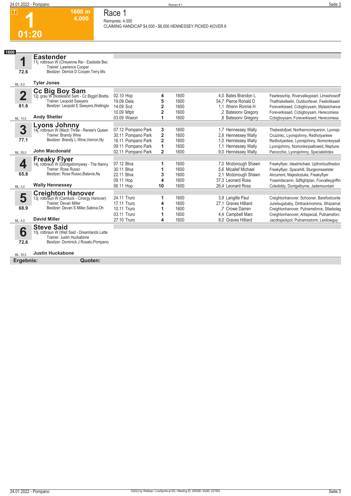#### **1600 m 4.000 Race 1**

**Rennpreis: 4.000**

**CLAIMING HANDICAP \$4,000 - \$6,000 HENNESSEY PICKED 4|OVER 6** 

**1600**

**01:20**

**1**

11j. rotbraun W (Cheyenne Rei - Eastside Bec Trainer: Lawrence Cooper Besitzer: Derrick D Cooper,Terry,Ms

| ML: 8,0     | <b>Tyler Jones</b>                                                |                    |                         |      |                      |                                               |
|-------------|-------------------------------------------------------------------|--------------------|-------------------------|------|----------------------|-----------------------------------------------|
|             |                                                                   |                    |                         |      |                      |                                               |
| $\mathbf 2$ | Cc Big Boy Sam<br>12j. grau W (Nobleland Sam - Cc Biggirl Bretta  | 02.10 Hop          | 4                       | 1600 | 4.0 Bates Brandon L  | Fearlesschip, Rivervalleypearl, Limashowoff   |
|             | Trainer: Leopold Sawyers                                          | 19.09 Dela         | 5                       | 1600 | 54.7 Pierce Ronald D | Thatfriskefeelin, Outdoorfever, Feelinlikawin |
| 81.6        | Besitzer: Leopold E Sawyers, Wellingto                            | 14.09 Scd          | $\overline{2}$          | 1600 | 1.1 Wrenn Ronnie H   | Foreverkissed, Ccbigboysam, Mylastchance      |
|             |                                                                   | 10.09 Mtplr        | 2                       | 1600 | 2 Batesony Gregory   | Foreverkissed, Ccbiqboysam, Herecomess        |
| ML: 10,0    | <b>Andy Shetler</b>                                               | 03.09 Wseon        |                         | 1600 | .8 Batesony Gregory  | Ccbiqboysam, Foreverkissed, Herecomess        |
|             | Lyons Johnny<br>14j. rotbraun W (Mach Three - Renee's Queen       |                    |                         |      |                      |                                               |
| 3           |                                                                   | 07.12 Pompano Park | 3                       | 1600 | 1,7 Hennessey Wally  | Thebestofjoel, Northerncompanion, Lyonsjo     |
|             | Trainer: Brandy Wine                                              | 30.11 Pompano Park | $\overline{\mathbf{2}}$ | 1600 | 2.8 Hennessey Wally  | Cruizinkc, Lyonsjohnny, Redhotyankee          |
| 77.1        | Besitzer: Brandy L Wine, Vernon, Ny                               | 16.11 Pompano Park | 2                       | 1600 | 1.0 Hennessey Wally  | Redhotyankee, Lyonsjohnny, Nomonkeysall       |
|             |                                                                   | 09.11 Pompano Park | 1                       | 1600 | 1.1 Hennessey Wally  | Lyonsjohnny, Nomonkeysallowed, Neptune        |
| ML: 55,0    | <b>John Macdonald</b>                                             | 02.11 Pompano Park | $\overline{2}$          | 1600 | 9.0 Hennessey Wally  | Panocchio, Lyonsjohnny, Specialstrides        |
|             | <b>Freaky Flyer</b>                                               |                    |                         |      |                      |                                               |
|             | 14j. rotbraun W (Dontgetinmyway - The Nanny                       | 07.12 Btva         |                         | 1600 | 7,0 Mcdonough Shawn  | Freakyflyer, Idealmichael, Upfrontoutthedoo   |
|             | Trainer: Rose Russo                                               | 30.11 Btva         |                         | 1600 | 5.6 Micallef Michael | Freakyflyer, Spacehill, Sturgeonseelster      |
| 65.8        | Besitzer: Rose Russo, Batavia, Ny                                 | 22.11 Btva         | 3                       | 1600 | 2.1 Mcdonough Shawn  | Aircurrent, Majesticduke, Freakyflyer         |
|             |                                                                   | 09.11 Hop          | 4                       | 1600 | 37.3 Leonard Ross    | Yosemitecamn, Sdflightplan, Foxvalleygriffin  |
| ML: 3,0     | <b>Wally Hennessey</b>                                            | 06.11 Hop          | 10                      | 1600 | 26,4 Leonard Ross    | Colediddy, Dontgetbyme, Jademountain          |
|             | <b>Creighton Hanover</b>                                          |                    |                         |      |                      |                                               |
| 5           | 13j. rotbraun W (Camluck - Cinergy Hanover)                       | 24.11 Truro        |                         | 1600 | 3,9 Langille Paul    | Creightonhanover, Schooner, Barefootconte     |
|             | <b>Trainer: Devan Miller</b>                                      | 17.11 Truro        |                         | 1600 | 27.1 Graves Hilliard | Junebugsbaby, Dirttrackmomma, Sfrazamat       |
| 68.9        | Besitzer: Devan S Miller, Sabina, Oh                              | 10.11 Truro        |                         | 1600 | .7 Crowe Darren      | Creightonhanover, Putnamsforce, Stladsdag     |
|             |                                                                   | 03.11 Truro        |                         | 1600 | 4.4 Campbell Marc    | Creightonhanover, Artispecial, Putnamsforc    |
| ML: 4,0     | <b>David Miller</b>                                               | 27.10 Truro        | 4                       | 1600 | 8.0 Graves Hilliard  | Jacobsjackpot, Putnamsstorm, Lexilowguy       |
|             | <b>Steve Said</b>                                                 |                    |                         |      |                      |                                               |
| 6           | 10j. rotbraun W (Well Said - Dreamlands Latte                     |                    |                         |      |                      |                                               |
|             | Trainer: Justin Huckabone<br>Besitzer: Dominick J Rosato, Pompano |                    |                         |      |                      |                                               |
| 72.6        |                                                                   |                    |                         |      |                      |                                               |
| ML: 35.0    | <b>Justin Huckabone</b>                                           |                    |                         |      |                      |                                               |

**Ergebnis: Quoten:**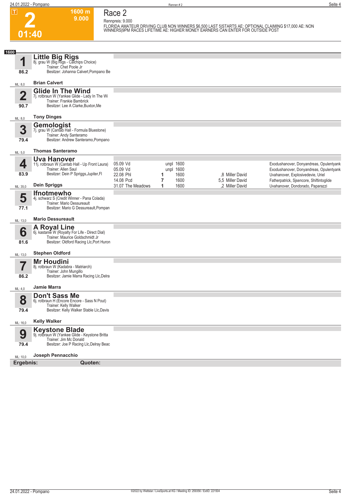**2**

**1600 m 9.000**  **Race 2**

**Rennpreis: 9.000 FLORIDA AMATEUR DRIVING CLUB NON WINNERS \$6,500 LAST 5|STARTS AE: OPTIONAL CLAIMING \$17,000 AE: NON WINNERS|9PM RACES LIFETIME AE: HIGHER MONEY EARNERS CAN ENTER FOR OUTSIDE POST** 

| 1600                            |                                                                                                                                                       |                        |                        |                                    |                                                                                    |
|---------------------------------|-------------------------------------------------------------------------------------------------------------------------------------------------------|------------------------|------------------------|------------------------------------|------------------------------------------------------------------------------------|
|                                 | <b>Little Big Rigs</b><br>8j. grau W (Big Rigs - Calchips Choice)<br>Trainer: Chet Poole Jr                                                           |                        |                        |                                    |                                                                                    |
| 86.2                            | Besitzer: Johanna Calvert, Pompano Be                                                                                                                 |                        |                        |                                    |                                                                                    |
| ML: 8,0                         | <b>Brian Calvert</b>                                                                                                                                  |                        |                        |                                    |                                                                                    |
| $\overline{\mathbf{2}}$<br>90.7 | <b>Glide In The Wind</b><br>7j. rotbraun W (Yankee Glide - Lady In The Wi<br>Trainer: Frankie Bambrick<br>Besitzer: Lee A Clarke, Buxton, Me          |                        |                        |                                    |                                                                                    |
| ML: 8,0                         | <b>Tony Dinges</b>                                                                                                                                    |                        |                        |                                    |                                                                                    |
|                                 | Gemologist                                                                                                                                            |                        |                        |                                    |                                                                                    |
| 3<br>79.4                       | 7j. grau W (Cantab Hall - Formula Bluestone)<br>Trainer: Andy Santeramo<br>Besitzer: Andrew Santeramo, Pompano                                        |                        |                        |                                    |                                                                                    |
| ML: 5,0                         | <b>Thomas Santeramo</b>                                                                                                                               |                        |                        |                                    |                                                                                    |
|                                 | <b>Uva Hanover</b>                                                                                                                                    |                        |                        |                                    |                                                                                    |
| 4                               | 11j. rotbraun W (Cantab Hall - Up Front Laura)<br>Trainer: Allen Saul                                                                                 | 05.09 Vd<br>05.09 Vd   | unpl 1600<br>unpl 1600 |                                    | Exodushanover, Donyandreas, Opulentyank<br>Exodushanover, Donyandreas, Opulentyank |
| 83.9                            | Besitzer: Dein P Spriggs, Jupiter, FI                                                                                                                 | 22.08 Phl<br>14.08 Pcd | 1600<br>1<br>1600<br>7 | 8 Miller David<br>5,5 Miller David | Uvahanover, Explosivedevie, Uriel                                                  |
| ML: 35,0                        | <b>Dein Spriggs</b>                                                                                                                                   | 31.07 The Meadows      | 1600<br>1              | .2 Miller David                    | Fatherpatrick, Sjsencore, Shiftintoglide<br>Uvahanover, Dondorado, Paparazzi       |
| 5<br>77.1                       | <b>Ifnotmewho</b><br>4j. schwarz S (Credit Winner - Pana Colada)<br>Trainer: Mario Dessureault<br>Besitzer: Mario G Dessureault, Pompan               |                        |                        |                                    |                                                                                    |
| ML: 13,0                        | <b>Mario Dessureault</b>                                                                                                                              |                        |                        |                                    |                                                                                    |
| 6<br>81.6                       | <b>A Royal Line</b><br>6j. kastanie W (Royalty For Life - Direct Dial)<br>Trainer: Maurice Goldschmidt Jr<br>Besitzer: Oldford Racing Llc, Port Huron |                        |                        |                                    |                                                                                    |
| ML: 13,0                        | <b>Stephen Oldford</b>                                                                                                                                |                        |                        |                                    |                                                                                    |
| 86.2                            | <b>Mr Houdini</b><br>8j. rotbraun W (Kadabra - Matriarch)<br>Trainer: John Mungillo<br>Besitzer: Jamie Marra Racing Llc, Delra                        |                        |                        |                                    |                                                                                    |
|                                 | <b>Jamie Marra</b>                                                                                                                                    |                        |                        |                                    |                                                                                    |
| ML: 4,0                         | <b>Don't Sass Me</b>                                                                                                                                  |                        |                        |                                    |                                                                                    |
| 8                               | 6j. rotbraun H (Encore Encore - Sass N Pout)<br>Trainer: Kelly Walker                                                                                 |                        |                        |                                    |                                                                                    |
| 79.4                            | Besitzer: Kelly Walker Stable Llc, Davis                                                                                                              |                        |                        |                                    |                                                                                    |
| ML: 16,0                        | <b>Kelly Walker</b>                                                                                                                                   |                        |                        |                                    |                                                                                    |
| 9<br>79.4                       | <b>Keystone Blade</b><br>9j. rotbraun W (Yankee Glide - Keystone Britta<br>Trainer: Jim Mc Donald<br>Besitzer: Joe P Racing Llc, Delray Beac          |                        |                        |                                    |                                                                                    |
| ML: 10,0                        | Joseph Pennacchio                                                                                                                                     |                        |                        |                                    |                                                                                    |
| Ergebnis:                       | Quoten:                                                                                                                                               |                        |                        |                                    |                                                                                    |
|                                 |                                                                                                                                                       |                        |                        |                                    |                                                                                    |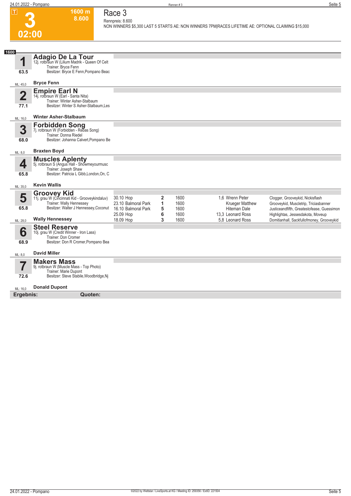**1600 m 8.600** 

# **Race 3**

**Rennpreis: 8.600**

**NON WINNERS \$5,300 LAST 5 STARTS AE: NON WINNERS 7PM|RACES LIFETIME AE: OPTIONAL CLAIMING \$15,000** 

| 1600           |                                                                                                       |                                               |                     |                      |                                                       |                                                                                                                              |
|----------------|-------------------------------------------------------------------------------------------------------|-----------------------------------------------|---------------------|----------------------|-------------------------------------------------------|------------------------------------------------------------------------------------------------------------------------------|
| 1              | <b>Adagio De La Tour</b><br>12j. rotbraun W (Lilium Madrik - Queen Of Celt<br>Trainer: Bryce Fenn     |                                               |                     |                      |                                                       |                                                                                                                              |
| 63.5           | Besitzer: Bryce E Fenn, Pompano Beac                                                                  |                                               |                     |                      |                                                       |                                                                                                                              |
| ML: 45,0       | <b>Bryce Fenn</b>                                                                                     |                                               |                     |                      |                                                       |                                                                                                                              |
| $\overline{2}$ | <b>Empire Earl N</b><br>14j. rotbraun W (Earl - Santa Nita)<br>Trainer: Winter Asher-Stalbaum         |                                               |                     |                      |                                                       |                                                                                                                              |
| 77.1           | Besitzer: Winter S Asher-Stalbaum, Les                                                                |                                               |                     |                      |                                                       |                                                                                                                              |
| ML: 16,0       | <b>Winter Asher-Stalbaum</b>                                                                          |                                               |                     |                      |                                                       |                                                                                                                              |
| 3              | <b>Forbidden Song</b><br>7j. rotbraun W (Forbidden - Rebas Song)                                      |                                               |                     |                      |                                                       |                                                                                                                              |
| 68.0           | Trainer: Donna Riedel<br>Besitzer: Johanna Calvert, Pompano Be                                        |                                               |                     |                      |                                                       |                                                                                                                              |
| ML: 8,0        | <b>Braxten Boyd</b>                                                                                   |                                               |                     |                      |                                                       |                                                                                                                              |
| 4              | <b>Muscles Aplenty</b><br>5j. rotbraun S (Angus Hall - Showmeyourmusc<br>Trainer: Joseph Shaw         |                                               |                     |                      |                                                       |                                                                                                                              |
| 65.8           | Besitzer: Patricia L Gibb, London, On, C                                                              |                                               |                     |                      |                                                       |                                                                                                                              |
| ML: 35,0       | Kevin Wallis                                                                                          |                                               |                     |                      |                                                       |                                                                                                                              |
| 5              | <b>Groovey Kid</b><br>11j. grau W (Cincinnati Kid - Grooveykindaluv)<br>Trainer: Wally Hennessey      | 30.10 Hop<br>23.10 Balmoral Park              | $\overline{2}$<br>1 | 1600<br>1600         | 1.6 Wrenn Peter<br><b>Krueger Matthew</b>             | Clogger, Grooveykid, Nickisflash<br>Grooveykid, Muscletrip, Triciasbanner                                                    |
| 65.8           | Besitzer: Walter J Hennessey, Coconut<br><b>Wally Hennessey</b>                                       | 16.10 Balmoral Park<br>25.09 Hop<br>18.09 Hop | 5<br>6<br>3         | 1600<br>1600<br>1600 | Hiteman Dale<br>13.3 Leonard Ross<br>5.8 Leonard Ross | Justiceandfifth, Greatestofease, Guessimon<br>Highlightas, Jessesdakota, Moveup<br>Domitianhall, Sackfullofmoney, Grooveykid |
| ML: 28,0       | <b>Steel Reserve</b>                                                                                  |                                               |                     |                      |                                                       |                                                                                                                              |
| 6<br>68.9      | 10j. grau W (Credit Winner - Iron Lass)<br>Trainer: Don Cromer<br>Besitzer: Don R Cromer, Pompano Bea |                                               |                     |                      |                                                       |                                                                                                                              |
| ML: 8,0        | <b>David Miller</b>                                                                                   |                                               |                     |                      |                                                       |                                                                                                                              |
| 5              | <b>Makers Mass</b><br>9j. rotbraun W (Muscle Mass - Top Photo)                                        |                                               |                     |                      |                                                       |                                                                                                                              |
| 72.6           | Trainer: Marie Dupont<br>Besitzer: Steve Stabile, Woodbridge, Nj                                      |                                               |                     |                      |                                                       |                                                                                                                              |
| ML: 16.0       | <b>Donald Dupont</b>                                                                                  |                                               |                     |                      |                                                       |                                                                                                                              |
| Ergebnis:      | Quoten:                                                                                               |                                               |                     |                      |                                                       |                                                                                                                              |
|                |                                                                                                       |                                               |                     |                      |                                                       |                                                                                                                              |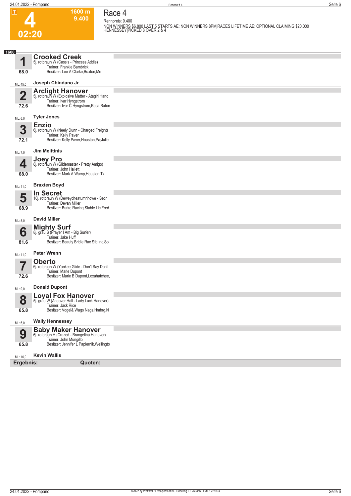**4**

**1600 m 9.400 Race 4**

**Rennpreis: 9.400 NON WINNERS \$6,800 LAST 5 STARTS AE: NON WINNERS 8PM|RACES LIFETIME AE: OPTIONAL CLAIMING \$20,000 HENNESSEY|PICKED 8 OVER 2 & 4** 

| 1600                    | <b>Crooked Creek</b>                                                       |  |
|-------------------------|----------------------------------------------------------------------------|--|
| и                       | 5j. rotbraun W (Cassis - Princess Addie)                                   |  |
| 68.0                    | Trainer: Frankie Bambrick<br>Besitzer: Lee A Clarke, Buxton, Me            |  |
|                         |                                                                            |  |
| ML: 45,0                | Joseph Chindano Jr                                                         |  |
|                         | <b>Arclight Hanover</b>                                                    |  |
| $\overline{\mathbf{2}}$ | 5j. rotbraun W (Explosive Matter - Atagirl Hano<br>Trainer: Ivar Hyngstrom |  |
| 72.6                    | Besitzer: Ivar C Hyngstrom, Boca Raton                                     |  |
| ML: 6,0                 | <b>Tyler Jones</b>                                                         |  |
|                         | <b>Enzio</b>                                                               |  |
| 3                       | 6j. rotbraun W (Neely Dunn - Charged Freight)<br>Trainer: Kelly Paver      |  |
| 72.1                    | Besitzer: Kelly Paver, Houston, Pa; Julie                                  |  |
| ML: 7,0                 | <b>Jim Meittinis</b>                                                       |  |
|                         | <b>Joey Pro</b>                                                            |  |
| Д                       | 8j. rotbraun W (Glidemaster - Pretty Amigo)<br>Trainer: John Hallett       |  |
| 68.0                    | Besitzer: Mark A Wamp, Houston, Tx                                         |  |
| ML: 11,0                | <b>Braxten Boyd</b>                                                        |  |
|                         | <b>In Secret</b>                                                           |  |
| 5                       | 10j. rotbraun W (Deweycheatumnhowe - Secr                                  |  |
| 68.9                    | Trainer: Devan Miller<br>Besitzer: Burke Racing Stable Llc, Fred           |  |
|                         |                                                                            |  |
| ML: 5,0                 | <b>David Miller</b>                                                        |  |
|                         | <b>Mighty Surf</b><br>8j. grau S (Prayer I Am - Big Surfer)                |  |
| 6                       | Trainer: Jake Huff                                                         |  |
| 81.6                    | Besitzer: Beauty Bridle Rac Stb Inc, So                                    |  |
| ML: 11,0                | <b>Peter Wrenn</b>                                                         |  |
|                         | <b>Oberto</b>                                                              |  |
| 7                       | 6j. rotbraun W (Yankee Glide - Don't Say Don't<br>Trainer: Marie Dupont    |  |
| 72.6                    | Besitzer: Marie B Dupont, Loxahatchee,                                     |  |
|                         | <b>Donald Dupont</b>                                                       |  |
| ML: 9,0                 |                                                                            |  |
| 8                       | <b>Loyal Fox Hanover</b><br>5j. grau W (Andover Hall - Lady Luck Hanover)  |  |
|                         | Trainer: Jack Rice                                                         |  |
| 65.8                    | Besitzer: Vogel& Wags Nags, Hmbrg, N                                       |  |
| ML: 6,0                 | <b>Wally Hennessey</b>                                                     |  |
|                         | <b>Baby Maker Hanover</b><br>6j. rotbraun H (Crazed - Brangelina Hanover)  |  |
| 9                       | Trainer: John Mungillo                                                     |  |
| 65.8                    | Besitzer: Jennifer L Papiernik, Wellingto                                  |  |
| ML: 16,0                | <b>Kevin Wallis</b>                                                        |  |
| Ergebnis:               | Quoten:                                                                    |  |
|                         |                                                                            |  |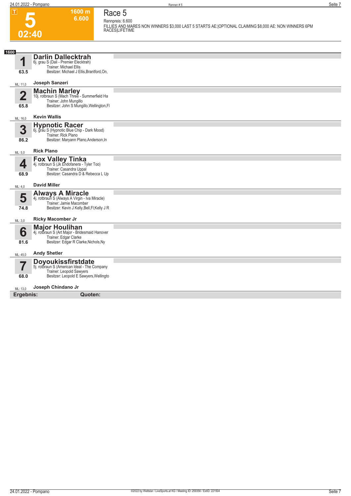**5**

## **Race 5 Rennpreis: 6.600**

**6.600** 

**1600 m**

**FILLIES AND MARES NON WINNERS \$3,000 LAST 5 STARTS AE:|OPTIONAL CLAIMING \$8,000 AE: NON WINNERS 6PM RACES|LIFETIME** 

| 1600                            |                                                                                                                                                      |  |
|---------------------------------|------------------------------------------------------------------------------------------------------------------------------------------------------|--|
| И<br>63.5                       | <b>Darlin Dallecktrah</b><br>6j. grau S (Dali - Premier Elecktrah)<br><b>Trainer: Michael Ellis</b><br>Besitzer: Michael J Ellis, Brantford, On,     |  |
| ML: 11,0                        | Joseph Sanzeri                                                                                                                                       |  |
| $\overline{\mathbf{2}}$<br>65.8 | Machin Marley<br>10j. rotbraun S (Mach Three - Summerfield Ha<br>Trainer: John Mungillo<br>Besitzer: John S Mungillo, Wellington, FI                 |  |
| ML: 16,0                        | <b>Kevin Wallis</b>                                                                                                                                  |  |
| 3<br>86.2                       | <b>Hypnotic Racer</b><br>6j. grau S (Hypnotic Blue Chip - Dark Mood)<br>Trainer: Rick Plano<br>Besitzer: Maryann Plano, Anderson, In                 |  |
| ML: 5,0                         | <b>Rick Plano</b>                                                                                                                                    |  |
| 4<br>68.9                       | <b>Fox Valley Tinka</b><br>4j. rotbraun S (Jk Endofanera - Tyler Too)<br>Trainer: Casandra Uppal<br>Besitzer: Casandra D & Rebecca L Up              |  |
| ML: 4,0                         | <b>David Miller</b>                                                                                                                                  |  |
| 5<br>74.8                       | <b>Always A Miracle</b><br>4j. rotbraun S (Always A Virgin - Iva Miracle)<br>Trainer: Jamie Macomber<br>Besitzer: Kevin J Kelly, Bell, Fl; Kelly J R |  |
| ML: 3,0                         | <b>Ricky Macomber Jr</b>                                                                                                                             |  |
| 6<br>81.6                       | <b>Major Houlihan</b><br>4j. rotbraun S (Art Major - Bridesmaid Hanover<br>Trainer: Edgar Clarke<br>Besitzer: Edgar R Clarke, Nichols, Ny            |  |
| ML: 45,0                        | <b>Andy Shetler</b>                                                                                                                                  |  |
| 57<br>68.0                      | <b>Doyoukissfirstdate</b><br>5j. rotbraun S (American Ideal - The Company<br>Trainer: Leopold Sawyers<br>Besitzer: Leopold E Sawyers, Wellingto      |  |
| ML: 13,0                        | Joseph Chindano Jr                                                                                                                                   |  |
| Ergebnis:                       | Quoten:                                                                                                                                              |  |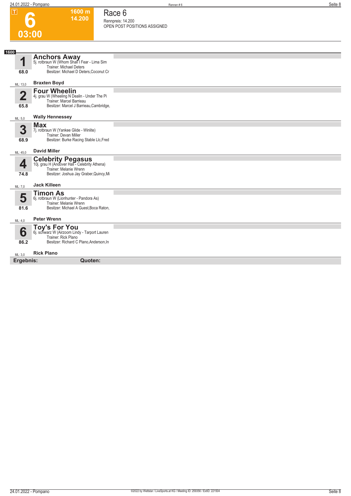**1600 m 14.200**  **Race 6**

**Rennpreis: 14.200 OPEN POST POSITIONS ASSIGNED** 

**6**

| 1600<br><b>Anchors Away</b><br>5j. rotbraun W (Whom Shall I Fear - Lima Sim<br>1<br>Trainer: Michael Deters<br>Besitzer: Michael D Deters, Coconut Cr<br>68.0<br><b>Braxten Boyd</b><br>ML: 13,0<br><b>Four Wheelin</b><br>$\overline{\mathbf{2}}$<br>4j. grau W (Wheeling N Dealin - Under The Pi<br>Trainer: Marcel Barrieau<br>Besitzer: Marcel J Barrieau, Cambridge,<br>65.8<br><b>Wally Hennessey</b><br>ML: 5,0<br><b>Max</b><br>3<br>7j. rotbraun W (Yankee Glide - Winlite)<br>Trainer: Devan Miller<br>Besitzer: Burke Racing Stable Llc, Fred<br>68.9<br><b>David Miller</b><br>ML: 45,0<br><b>Celebrity Pegasus</b><br>10j. grau H (Andover Hall - Celebrity Athena)<br>4<br>Trainer: Melanie Wrenn<br>Besitzer: Joshua Jay Graber, Quincy, Mi<br>74.8<br><b>Jack Killeen</b><br>ML: 7,0<br><b>Timon As</b><br>5<br>6j. rotbraun W (Lionhunter - Pandora As)<br>Trainer: Melanie Wrenn<br>Besitzer: Michael A Guest, Boca Raton,<br>81.6<br><b>Peter Wrenn</b><br>ML: 4,0<br>Toy's For You<br>6j. schwarz W (Airzoom Lindy - Tarport Lauren<br>6<br>Trainer: Rick Plano<br>Besitzer: Richard C Plano, Anderson, In<br>86.2<br><b>Rick Plano</b><br>ML: 3,0<br>Ergebnis:<br>Quoten: | 03:00 |  |
|------------------------------------------------------------------------------------------------------------------------------------------------------------------------------------------------------------------------------------------------------------------------------------------------------------------------------------------------------------------------------------------------------------------------------------------------------------------------------------------------------------------------------------------------------------------------------------------------------------------------------------------------------------------------------------------------------------------------------------------------------------------------------------------------------------------------------------------------------------------------------------------------------------------------------------------------------------------------------------------------------------------------------------------------------------------------------------------------------------------------------------------------------------------------------------------------|-------|--|
|                                                                                                                                                                                                                                                                                                                                                                                                                                                                                                                                                                                                                                                                                                                                                                                                                                                                                                                                                                                                                                                                                                                                                                                                |       |  |
|                                                                                                                                                                                                                                                                                                                                                                                                                                                                                                                                                                                                                                                                                                                                                                                                                                                                                                                                                                                                                                                                                                                                                                                                |       |  |
|                                                                                                                                                                                                                                                                                                                                                                                                                                                                                                                                                                                                                                                                                                                                                                                                                                                                                                                                                                                                                                                                                                                                                                                                |       |  |
|                                                                                                                                                                                                                                                                                                                                                                                                                                                                                                                                                                                                                                                                                                                                                                                                                                                                                                                                                                                                                                                                                                                                                                                                |       |  |
|                                                                                                                                                                                                                                                                                                                                                                                                                                                                                                                                                                                                                                                                                                                                                                                                                                                                                                                                                                                                                                                                                                                                                                                                |       |  |
|                                                                                                                                                                                                                                                                                                                                                                                                                                                                                                                                                                                                                                                                                                                                                                                                                                                                                                                                                                                                                                                                                                                                                                                                |       |  |
|                                                                                                                                                                                                                                                                                                                                                                                                                                                                                                                                                                                                                                                                                                                                                                                                                                                                                                                                                                                                                                                                                                                                                                                                |       |  |
|                                                                                                                                                                                                                                                                                                                                                                                                                                                                                                                                                                                                                                                                                                                                                                                                                                                                                                                                                                                                                                                                                                                                                                                                |       |  |
|                                                                                                                                                                                                                                                                                                                                                                                                                                                                                                                                                                                                                                                                                                                                                                                                                                                                                                                                                                                                                                                                                                                                                                                                |       |  |
|                                                                                                                                                                                                                                                                                                                                                                                                                                                                                                                                                                                                                                                                                                                                                                                                                                                                                                                                                                                                                                                                                                                                                                                                |       |  |
|                                                                                                                                                                                                                                                                                                                                                                                                                                                                                                                                                                                                                                                                                                                                                                                                                                                                                                                                                                                                                                                                                                                                                                                                |       |  |
|                                                                                                                                                                                                                                                                                                                                                                                                                                                                                                                                                                                                                                                                                                                                                                                                                                                                                                                                                                                                                                                                                                                                                                                                |       |  |
|                                                                                                                                                                                                                                                                                                                                                                                                                                                                                                                                                                                                                                                                                                                                                                                                                                                                                                                                                                                                                                                                                                                                                                                                |       |  |
|                                                                                                                                                                                                                                                                                                                                                                                                                                                                                                                                                                                                                                                                                                                                                                                                                                                                                                                                                                                                                                                                                                                                                                                                |       |  |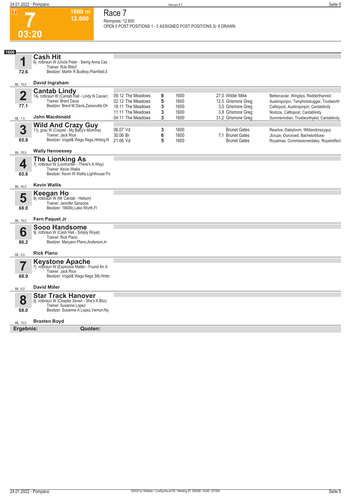**1600 m 12.600**  **Race 7 Rennpreis: 12.600**

**OPEN II POST POSITIONS 1 - 2 ASSIGNED POST POSITIONS 3|- 8 DRAWN** 

**7 03:20**

| 1600                    | <b>Cash Hit</b>                                                         |                                        |        |              |                                         |                                                                                     |
|-------------------------|-------------------------------------------------------------------------|----------------------------------------|--------|--------------|-----------------------------------------|-------------------------------------------------------------------------------------|
| ◀                       | 6j. rotbraun W (Uncle Peter - Swing Anna Cas<br>Trainer: Rob Rittof     |                                        |        |              |                                         |                                                                                     |
| 72.6                    | Besitzer: Martin R Budkey, Plainfield, II                               |                                        |        |              |                                         |                                                                                     |
|                         | David Ingraham                                                          |                                        |        |              |                                         |                                                                                     |
| ML: 16,0                |                                                                         |                                        |        |              |                                         |                                                                                     |
| $\overline{\mathbf{2}}$ | <b>Cantab Lindy</b><br>14j. rotbraun W (Cantab Hall - Lindy N Caviar)   | 09.12 The Meadows                      | 8      | 1600         | 27.0 Wilder Mike                        | Bettercaviar, Wingtips, Redderthanred                                               |
| 77.1                    | Trainer: Brent Davis<br>Besitzer: Brent M Davis, Zanesville, Oh         | 02.12 The Meadows<br>18.11 The Meadows | 5<br>3 | 1600<br>1600 | 12,5 Grismore Greg<br>3.0 Grismore Greg | Austinsjonjon, Tsmphotobugger, Trustworth<br>Calltopost, Austinsjonjon, Cantablindy |
|                         |                                                                         | 11.11 The Meadows                      | 3      | 1600         | 3.8 Grismore Greg                       | Nodoze, Calltopost, Cantablindy                                                     |
| ML: 7,0                 | <b>John Macdonald</b>                                                   | 04.11 The Meadows                      | 3      | 1600         | 31,2 Grismore Greg                      | Summerindian, Trustworthykid, Cantablindy                                           |
| 3                       | <b>Wild And Crazy Guy</b><br>11j. grau W (Crazed - My Baby's Momma)     | 06.07 Vd                               | 3      | 1600         | <b>Brunet Gates</b>                     | Resolve, Daleylovin, Wildandcrazyguy                                                |
|                         | Trainer: Jack Rice                                                      | 30.06 Br                               | 6      | 1600         | 7,1 Brunet Gates                        | Jlcruze, Ourcrowd, Bachelorblues-                                                   |
| 65.8                    | Besitzer: Vogel& Wags Nags, Hmbrg, N                                    | 21.06 Vd                               | 5      | 1600         | <b>Brunet Gates</b>                     | Royalmax, Commissionerdaley, Royalreflect                                           |
| ML: 35,0                | <b>Wally Hennessey</b>                                                  |                                        |        |              |                                         |                                                                                     |
|                         | <b>The Lionking As</b>                                                  |                                        |        |              |                                         |                                                                                     |
| 4                       | 7j. rotbraun W (Lionhunter - There's A Way)<br>Trainer: Kevin Wallis    |                                        |        |              |                                         |                                                                                     |
| 65.8                    | Besitzer: Kevin W Wallis, Lighthouse Po                                 |                                        |        |              |                                         |                                                                                     |
| ML: 45,0                | <b>Kevin Wallis</b>                                                     |                                        |        |              |                                         |                                                                                     |
|                         | <b>Keegan Ho</b>                                                        |                                        |        |              |                                         |                                                                                     |
| 5                       | 9j. rotbraun W (Mr Cantab - Helium)<br>Trainer: Jennifer Sansone        |                                        |        |              |                                         |                                                                                     |
| 68.0                    | Besitzer: 1940llc, Lake Worth, FI                                       |                                        |        |              |                                         |                                                                                     |
| ML: 16,0                | Fern Paquet Jr                                                          |                                        |        |              |                                         |                                                                                     |
|                         | <b>Sooo Handsome</b>                                                    |                                        |        |              |                                         |                                                                                     |
| 6                       | 9j. rotbraun W (Cash Hall - Simply Royal)<br>Trainer: Rick Plano        |                                        |        |              |                                         |                                                                                     |
| 86.2                    | Besitzer: Maryann Plano, Anderson, In                                   |                                        |        |              |                                         |                                                                                     |
| ML: 5,0                 | <b>Rick Plano</b>                                                       |                                        |        |              |                                         |                                                                                     |
|                         | <b>Keystone Apache</b><br>7j. rotbraun W (Explosive Matter - Found An A |                                        |        |              |                                         |                                                                                     |
|                         | Trainer: Jack Rice                                                      |                                        |        |              |                                         |                                                                                     |
| 68.9                    | Besitzer: Vogel& Wags Nags Stb, Hmbr                                    |                                        |        |              |                                         |                                                                                     |
| ML: 6,0                 | <b>David Miller</b>                                                     |                                        |        |              |                                         |                                                                                     |
|                         | <b>Star Track Hanover</b>                                               |                                        |        |              |                                         |                                                                                     |
| 8                       | 6j. rotbraun W (Chapter Seven - She's A Blizz<br>Trainer: Susanne Lopez |                                        |        |              |                                         |                                                                                     |
| 68.0                    | Besitzer: Susanne A Lopez, Vernon, Ny                                   |                                        |        |              |                                         |                                                                                     |
| ML: 10,0                | <b>Braxten Boyd</b>                                                     |                                        |        |              |                                         |                                                                                     |
| Ergebnis:               | Quoten:                                                                 |                                        |        |              |                                         |                                                                                     |
|                         |                                                                         |                                        |        |              |                                         |                                                                                     |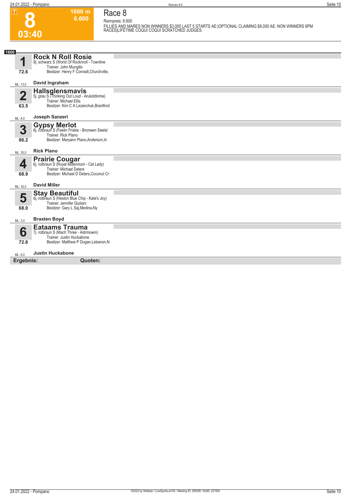**8**

**1600 m 6.600 Race 8**

**Rennpreis: 6.600 FILLIES AND MARES NON WINNERS \$3,000 LAST 5 STARTS AE:|OPTIONAL CLAIMING \$8,000 AE: NON WINNERS 6PM RACES|LIFETIME COQUI COQUI SCRATCHED JUDGES** 

| 1600                       |                                                                                                                                            |  |
|----------------------------|--------------------------------------------------------------------------------------------------------------------------------------------|--|
| 1                          | <b>Rock N Roll Rosie</b><br>9j. schwarz S (World Of Rocknroll - Townline<br>Trainer: John Mungillo                                         |  |
| 72.6                       | Besitzer: Henry F Conradt, Churchville,                                                                                                    |  |
| ML: 13,0                   | David Ingraham                                                                                                                             |  |
| $\overline{\bf 2}$<br>63.5 | Hallsglensmavis<br>5j. grau S (Thinking Out Loud - Arukiddinme)<br>Trainer: Michael Ellis<br>Besitzer: Kim C A Lezanchuk, Brantford        |  |
| ML: 8,0                    | Joseph Sanzeri                                                                                                                             |  |
| 3<br>86.2                  | Gypsy Merlot<br>6j. rotbraun S (Feelin Friskie - Bronwen Seelst<br>Trainer: Rick Plano<br>Besitzer: Maryann Plano, Anderson, In            |  |
| ML: 35,0                   | <b>Rick Plano</b>                                                                                                                          |  |
| 4<br>68.9                  | <b>Prairie Cougar</b><br>6j. rotbraun S (Royel Millennium - Cat Lady)<br>Trainer: Michael Deters<br>Besitzer: Michael D Deters, Coconut Cr |  |
| ML: 35,0                   | <b>David Miller</b>                                                                                                                        |  |
| 5<br>68.0                  | <b>Stay Beautiful</b><br>6j. rotbraun S (Heston Blue Chip - Kate's Joy)<br>Trainer: Jennifer Giuliani<br>Besitzer: Gary L Saj, Medina, Ny  |  |
| ML: 3,0                    | <b>Braxten Boyd</b>                                                                                                                        |  |
| 6<br>72.6                  | <b>Eataams Trauma</b><br>7j. rotbraun S (Mach Three - Astrmowin)<br>Trainer: Justin Huckabone<br>Besitzer: Matthew P Dugan, Lebanon, N     |  |
| ML: 8,0                    | <b>Justin Huckabone</b>                                                                                                                    |  |
| Ergebnis:                  | Quoten:                                                                                                                                    |  |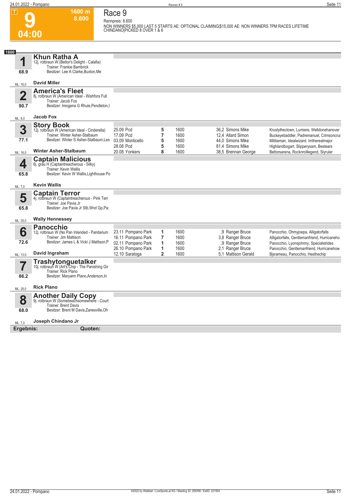**9**

**Race 9 Rennpreis: 8.600**

**1600 m 8.600** 

**NON WINNERS \$5,000 LAST 5 STARTS AE: OPTIONAL CLAIMING|\$15,000 AE: NON WINNERS 7PM RACES LIFETIME CHINDANO|PICKED 8 OVER 1 & 6** 

| 1600<br>1<br>68.9               | Khun Ratha A<br>12j. rotbraun W (Bettor's Delight - Calafia)<br>Trainer: Frankie Bambrick<br>Besitzer: Lee A Clarke, Buxton, Me             |                                          |                     |              |                                       |                                                                                      |
|---------------------------------|---------------------------------------------------------------------------------------------------------------------------------------------|------------------------------------------|---------------------|--------------|---------------------------------------|--------------------------------------------------------------------------------------|
|                                 | <b>David Miller</b>                                                                                                                         |                                          |                     |              |                                       |                                                                                      |
| ML: 16,0                        |                                                                                                                                             |                                          |                     |              |                                       |                                                                                      |
| $\overline{\mathbf{2}}$<br>90.7 | <b>America's Fleet</b><br>8j. rotbraun W (American Ideal - Wishfora Full<br>Trainer: Jacob Fox<br>Besitzer: Imogene G Rhule, Pendleton, I   |                                          |                     |              |                                       |                                                                                      |
| ML: 8,0                         | <b>Jacob Fox</b>                                                                                                                            |                                          |                     |              |                                       |                                                                                      |
|                                 | <b>Story Book</b>                                                                                                                           |                                          |                     |              |                                       |                                                                                      |
| 3<br>77.1                       | 12j. rotbraun W (American Ideal - Cinderella)<br>Trainer: Winter Asher-Stalbaum<br>Besitzer: Winter S Asher-Stalbaum.Les                    | 25.09 Pcd<br>17.09 Pcd                   | 5<br>$\overline{7}$ | 1600<br>1600 | 36.2 Simons Mike<br>12.4 Allard Simon | Krustytheclown, Lumiere, Welldonehanover<br>Buckeyebaddler, Padremanuel, Crimsoncrui |
|                                 |                                                                                                                                             | 03.09 Monticello<br>28.08 Pcd            | 5<br>5              | 1600<br>1600 | 44.0 Simons Mike<br>81.4 Simons Mike  | Militiaman, Idealwizard, Imtherealmajor<br>Highlandbogart, Slipperysam, Bestears     |
| ML: 16,0                        | <b>Winter Asher-Stalbaum</b>                                                                                                                | 20.08 Yonkers                            | 8                   | 1600         | 38,5 Brennan George                   | Bettorsarena, Rocknrolllegend, Slyruler                                              |
| 4<br>65.8                       | <b>Captain Malicious</b><br>6j. grau H (Captaintreacherous - Silky)<br>Trainer: Kevin Wallis<br>Besitzer: Kevin W Wallis, Lighthouse Po     |                                          |                     |              |                                       |                                                                                      |
|                                 |                                                                                                                                             |                                          |                     |              |                                       |                                                                                      |
| ML: 7,0                         | <b>Kevin Wallis</b>                                                                                                                         |                                          |                     |              |                                       |                                                                                      |
| 5<br>65.8                       | <b>Captain Terror</b><br>4j. rotbraun W (Captaintreacherous - Pink Terr<br>Trainer: Joe Pavia Jr<br>Besitzer: Joe Pavia Jr Stb, Wnd Gp, Pa; |                                          |                     |              |                                       |                                                                                      |
| ML: 35,0                        | <b>Wally Hennessey</b>                                                                                                                      |                                          |                     |              |                                       |                                                                                      |
|                                 | <b>Panocchio</b>                                                                                                                            |                                          |                     |              |                                       |                                                                                      |
| 6                               | 12j. rotbraun W (No Pan Intended - Panitarium                                                                                               | 23.11 Pompano Park                       | 1                   | 1600         | .9 Ranger Bruce                       | Panocchio, Ohmyjoepa, Alligatorfalls                                                 |
| 72.6                            | Trainer: Jim Mattison<br>Besitzer: James L & Vicki J Mattison, P                                                                            | 16.11 Pompano Park<br>02.11 Pompano Park | $\overline{7}$<br>1 | 1600<br>1600 | 3,8 Ranger Bruce                      | Alligatorfalls, Gentlemanfriend, Hurricaneho                                         |
|                                 |                                                                                                                                             | 26.10 Pompano Park                       | 1                   | 1600         | ,9 Ranger Bruce<br>2.1 Ranger Bruce   | Panocchio, Lyonsjohnny, Specialstrides<br>Panocchio, Gentlemanfriend, Hurricanehow   |
| ML: 13,0                        | David Ingraham                                                                                                                              | 12.10 Saratoga                           | $\overline{2}$      | 1600         | 5.1 Mattison Gerald                   | Bisrameau, Panocchio, Hesthechip                                                     |
|                                 | <b>Trashytonguetalker</b><br>10j. rotbraun W (Art's Chip - The Panishing Gir<br>Trainer: Rick Plano                                         |                                          |                     |              |                                       |                                                                                      |
| 86.2                            | Besitzer: Maryann Plano, Anderson, In                                                                                                       |                                          |                     |              |                                       |                                                                                      |
| ML: 28,0                        | <b>Rick Plano</b>                                                                                                                           |                                          |                     |              |                                       |                                                                                      |
|                                 | <b>Another Daily Copy</b>                                                                                                                   |                                          |                     |              |                                       |                                                                                      |
| 8                               | 9j. rotbraun W (Somebeachsomewhere - Court                                                                                                  |                                          |                     |              |                                       |                                                                                      |
| 68.0                            | <b>Trainer: Brent Davis</b><br>Besitzer: Brent M Davis, Zanesville, Oh                                                                      |                                          |                     |              |                                       |                                                                                      |
| ML: 7.0                         | Joseph Chindano Jr                                                                                                                          |                                          |                     |              |                                       |                                                                                      |
| Ergebnis:                       | Quoten:                                                                                                                                     |                                          |                     |              |                                       |                                                                                      |
|                                 |                                                                                                                                             |                                          |                     |              |                                       |                                                                                      |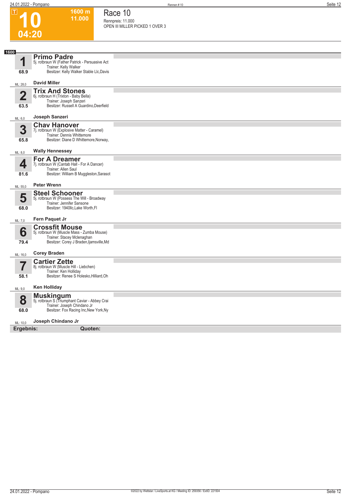**1600 m 11.000**  **Race 10**

**Rennpreis: 11.000 OPEN III MILLER PICKED 1 OVER 3** 

**10**

| 04:20                           |                                                                                                                                               |  |
|---------------------------------|-----------------------------------------------------------------------------------------------------------------------------------------------|--|
|                                 |                                                                                                                                               |  |
| 1600<br>1<br>68.9               | <b>Primo Padre</b><br>5j. rotbraun W (Father Patrick - Persuasive Act<br>Trainer: Kelly Walker<br>Besitzer: Kelly Walker Stable Llc, Davis    |  |
| ML: 28,0                        | <b>David Miller</b>                                                                                                                           |  |
| $\overline{\mathbf{2}}$<br>63.5 | <b>Trix And Stones</b><br>6j. rotbraun H (Trixton - Baby Bella)<br>Trainer: Joseph Sanzeri<br>Besitzer: Russell A Guardino, Deerfield         |  |
| ML: 6,0                         | Joseph Sanzeri                                                                                                                                |  |
| 3<br>65.8                       | <b>Chav Hanover</b><br>7j. rotbraun W (Explosive Matter - Caramel)<br>Trainer: Dennis Whittemore<br>Besitzer: Diane D Whittemore, Norway,     |  |
| ML: 8,0                         | <b>Wally Hennessey</b>                                                                                                                        |  |
| 4<br>81.6                       | <b>For A Dreamer</b><br>7j. rotbraun W (Cantab Hall - For A Dancer)<br>Trainer: Allen Saul<br>Besitzer: William B Muggleston, Sarasot         |  |
| ML: 55,0                        | <b>Peter Wrenn</b>                                                                                                                            |  |
| 5<br>68.0                       | <b>Steel Schooner</b><br>5j. rotbraun W (Possess The Will - Broadway<br>Trainer: Jennifer Sansone<br>Besitzer: 1940llc, Lake Worth, FI        |  |
| ML: 7,0                         | Fern Paquet Jr                                                                                                                                |  |
| 6<br>79.4                       | <b>Crossfit Mouse</b><br>5j. rotbraun W (Muscle Mass - Zumba Mouse)<br>Trainer: Stacey Mclenaghan<br>Besitzer: Corey J Braden, Ijamsville, Md |  |
| ML: 16,0                        | <b>Corey Braden</b>                                                                                                                           |  |
| 7<br>58.1                       | <b>Cartier Zette</b><br>8j. rotbraun W (Muscle Hill - Liebchen)<br>Trainer: Ken Holliday<br>Besitzer: Renee S Holesko, Hilliard, Oh           |  |
| ML: 9,0                         | <b>Ken Holliday</b>                                                                                                                           |  |
| 8<br>68.0                       | <b>Muskingum</b><br>5j. rotbraun S (Triumphant Caviar - Abbey Crai<br>Trainer: Joseph Chindano Jr<br>Besitzer: Fox Racing Inc, New York, Ny   |  |
| ML: 10,0                        | Joseph Chindano Jr                                                                                                                            |  |
| Ergebnis:                       | Quoten:                                                                                                                                       |  |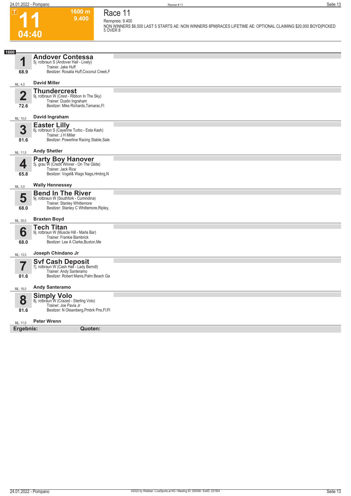**11**

 $|\mathsf{T}|$ 

**04:40**

### **1600 m Race 11 Rennpreis: 9.400**

**9.400** 

**NON WINNERS \$6,500 LAST 5 STARTS AE: NON WINNERS 8PM|RACES LIFETIME AE: OPTIONAL CLAIMING \$20,000 BOYD|PICKED 5 OVER 8** 

| 1600                    |                                                                        |  |
|-------------------------|------------------------------------------------------------------------|--|
|                         | <b>Andover Contessa</b>                                                |  |
| 1                       | 5j. rotbraun S (Andover Hall - Lively)<br>Trainer: Jake Huff           |  |
| 68.9                    | Besitzer: Rosalia Huff, Coconut Creek, F                               |  |
| ML: 4,0                 | <b>David Miller</b>                                                    |  |
|                         | <b>Thundercrest</b>                                                    |  |
| $\overline{\mathbf{2}}$ | 9j. rotbraun W (Crest - Ribbon In The Sky)<br>Trainer: Dustin Ingraham |  |
| 72.6                    | Besitzer: Mike Richards, Tamarac, FI                                   |  |
|                         | David Ingraham                                                         |  |
| ML: 10,0                |                                                                        |  |
| 3                       | Easter Lilly<br>6j. rotbraun S (Cayenne Turbo - Esta Kash)             |  |
| 81.6                    | Trainer: J H Miller<br>Besitzer: Powerline Racing Stable, Sale         |  |
|                         |                                                                        |  |
| ML: 11,0                | <b>Andy Shetler</b>                                                    |  |
|                         | <b>Party Boy Hanover</b><br>5j. grau W (Credit Winner - On The Glide)  |  |
| 4                       | Trainer: Jack Rice                                                     |  |
| 65.8                    | Besitzer: Vogel& Wags Nags, Hmbrg, N                                   |  |
| ML: 3,0                 | <b>Wally Hennessey</b>                                                 |  |
|                         | <b>Bend In The River</b>                                               |  |
| 5                       | 9j. rotbraun W (Southfork - Cumindina)<br>Trainer: Stanley Whittemore  |  |
| 68.0                    | Besitzer: Stanley C Whittemore, Ripley,                                |  |
| ML: 35,0                | <b>Braxten Boyd</b>                                                    |  |
|                         | <b>Tech Titan</b>                                                      |  |
| 6                       | 9j. rotbraun W (Muscle Hill - Marla Bar)<br>Trainer: Frankie Bambrick  |  |
| 68.0                    | Besitzer: Lee A Clarke, Buxton, Me                                     |  |
| ML: 13,0                | Joseph Chindano Jr                                                     |  |
|                         | <b>Svf Cash Deposit</b><br>7j. rotbraun W (Cash Hall - Lady Berndt)    |  |
| 7                       | Trainer: Andy Santeramo                                                |  |
| 81.6                    | Besitzer: Robert Manis, Palm Beach Ga                                  |  |
| ML: 16,0                | <b>Andy Santeramo</b>                                                  |  |
|                         | <b>Simply Volo</b>                                                     |  |
| 8                       | 8j. rotbraun W (Crazed - Sterling Volo)<br>Trainer: Joe Pavia Jr       |  |
| 81.6                    | Besitzer: N Oksenberg, Pmbrk Pns, Fl; Pi                               |  |
| ML: 11,0                | <b>Peter Wrenn</b>                                                     |  |
| Ergebnis:               | Quoten:                                                                |  |
|                         |                                                                        |  |